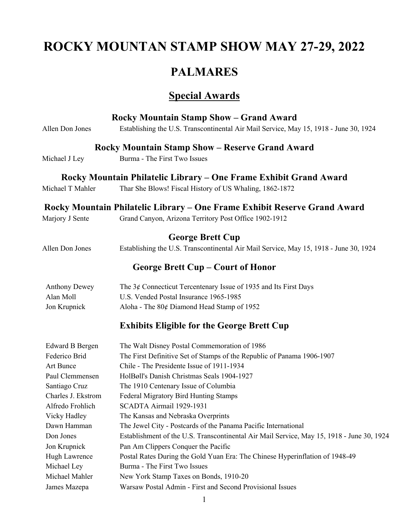# **ROCKY MOUNTAN STAMP SHOW MAY 27-29, 2022**

## **PALMARES**

## **Special Awards**

|                        | <b>Rocky Mountain Stamp Show - Grand Award</b>                                            |
|------------------------|-------------------------------------------------------------------------------------------|
| Allen Don Jones        | Establishing the U.S. Transcontinental Air Mail Service, May 15, 1918 - June 30, 1924     |
|                        | <b>Rocky Mountain Stamp Show - Reserve Grand Award</b>                                    |
| Michael J Ley          | Burma - The First Two Issues                                                              |
|                        | Rocky Mountain Philatelic Library – One Frame Exhibit Grand Award                         |
| Michael T Mahler       | Thar She Blows! Fiscal History of US Whaling, 1862-1872                                   |
|                        | Rocky Mountain Philatelic Library – One Frame Exhibit Reserve Grand Award                 |
| Marjory J Sente        | Grand Canyon, Arizona Territory Post Office 1902-1912                                     |
|                        | <b>George Brett Cup</b>                                                                   |
| Allen Don Jones        | Establishing the U.S. Transcontinental Air Mail Service, May 15, 1918 - June 30, 1924     |
|                        | George Brett Cup – Court of Honor                                                         |
| <b>Anthony Dewey</b>   | The $3¢$ Connecticut Tercentenary Issue of 1935 and Its First Days                        |
| Alan Moll              | U.S. Vended Postal Insurance 1965-1985                                                    |
| Jon Krupnick           | Aloha - The 80¢ Diamond Head Stamp of 1952                                                |
|                        | <b>Exhibits Eligible for the George Brett Cup</b>                                         |
| <b>Edward B Bergen</b> | The Walt Disney Postal Commemoration of 1986                                              |
| Federico Brid          | The First Definitive Set of Stamps of the Republic of Panama 1906-1907                    |
| Art Bunce              | Chile - The Presidente Issue of 1911-1934                                                 |
| Paul Clemmensen        | HolBøll's Danish Christmas Seals 1904-1927                                                |
| Santiago Cruz          | The 1910 Centenary Issue of Columbia                                                      |
| Charles J. Ekstrom     | Federal Migratory Bird Hunting Stamps                                                     |
| Alfredo Frohlich       | SCADTA Airmail 1929-1931                                                                  |
| Vicky Hadley           | The Kansas and Nebraska Overprints                                                        |
| Dawn Hamman            | The Jewel City - Postcards of the Panama Pacific International                            |
| Don Jones              | Establishment of the U.S. Transcontinental Air Mail Service, May 15, 1918 - June 30, 1924 |
| Jon Krupnick           | Pan Am Clippers Conquer the Pacific                                                       |
| Hugh Lawrence          | Postal Rates During the Gold Yuan Era: The Chinese Hyperinflation of 1948-49              |
| Michael Ley            | Burma - The First Two Issues                                                              |
| Michael Mahler         | New York Stamp Taxes on Bonds, 1910-20                                                    |
| James Mazepa           | Warsaw Postal Admin - First and Second Provisional Issues                                 |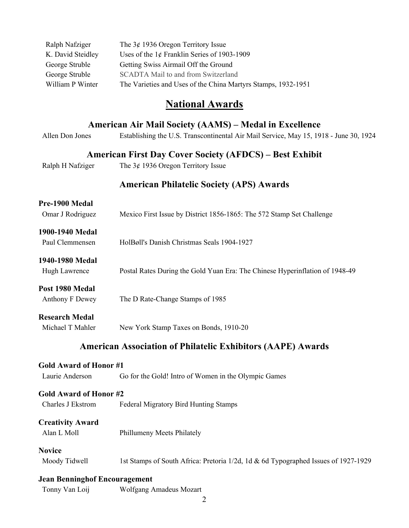| Ralph Nafziger    | The $3¢$ 1936 Oregon Territory Issue                          |
|-------------------|---------------------------------------------------------------|
| K. David Steidley | Uses of the $1¢$ Franklin Series of 1903-1909                 |
| George Struble    | Getting Swiss Airmail Off the Ground                          |
| George Struble    | SCADTA Mail to and from Switzerland                           |
| William P Winter  | The Varieties and Uses of the China Martyrs Stamps, 1932-1951 |

## **National Awards**

|                                      | American Air Mail Society (AAMS) – Medal in Excellence                                |
|--------------------------------------|---------------------------------------------------------------------------------------|
| Allen Don Jones                      | Establishing the U.S. Transcontinental Air Mail Service, May 15, 1918 - June 30, 1924 |
|                                      | <b>American First Day Cover Society (AFDCS) – Best Exhibit</b>                        |
| Ralph H Nafziger                     | The $3¢$ 1936 Oregon Territory Issue                                                  |
|                                      | <b>American Philatelic Society (APS) Awards</b>                                       |
| Pre-1900 Medal                       |                                                                                       |
| Omar J Rodriguez                     | Mexico First Issue by District 1856-1865: The 572 Stamp Set Challenge                 |
| 1900-1940 Medal                      |                                                                                       |
| Paul Clemmensen                      | HolBøll's Danish Christmas Seals 1904-1927                                            |
| 1940-1980 Medal                      |                                                                                       |
| Hugh Lawrence                        | Postal Rates During the Gold Yuan Era: The Chinese Hyperinflation of 1948-49          |
| Post 1980 Medal                      |                                                                                       |
| Anthony F Dewey                      | The D Rate-Change Stamps of 1985                                                      |
| <b>Research Medal</b>                |                                                                                       |
| Michael T Mahler                     | New York Stamp Taxes on Bonds, 1910-20                                                |
|                                      | <b>American Association of Philatelic Exhibitors (AAPE) Awards</b>                    |
| <b>Gold Award of Honor #1</b>        |                                                                                       |
| Laurie Anderson                      | Go for the Gold! Intro of Women in the Olympic Games                                  |
| <b>Gold Award of Honor #2</b>        |                                                                                       |
| Charles J Ekstrom                    | Federal Migratory Bird Hunting Stamps                                                 |
| <b>Creativity Award</b>              |                                                                                       |
| Alan L Moll                          | Phillumeny Meets Philately                                                            |
| <b>Novice</b>                        |                                                                                       |
| Moody Tidwell                        | 1st Stamps of South Africa: Pretoria 1/2d, 1d & 6d Typographed Issues of 1927-1929    |
| <b>Jean Benninghof Encouragement</b> |                                                                                       |
| Tonny Van Loij                       | Wolfgang Amadeus Mozart                                                               |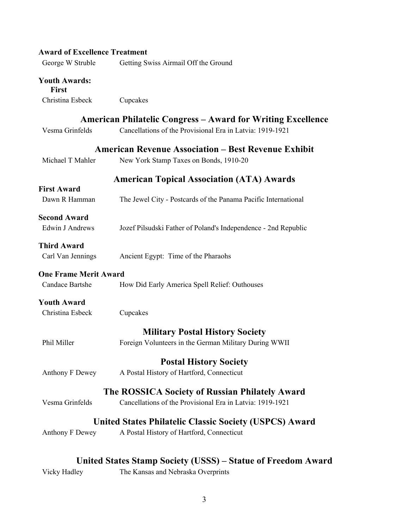| <b>Award of Excellence Treatment</b> |                                                                    |
|--------------------------------------|--------------------------------------------------------------------|
| George W Struble                     | Getting Swiss Airmail Off the Ground                               |
| <b>Youth Awards:</b><br><b>First</b> |                                                                    |
| Christina Esbeck                     | Cupcakes                                                           |
|                                      | <b>American Philatelic Congress – Award for Writing Excellence</b> |
| Vesma Grinfelds                      | Cancellations of the Provisional Era in Latvia: 1919-1921          |
|                                      | <b>American Revenue Association – Best Revenue Exhibit</b>         |
| Michael T Mahler                     | New York Stamp Taxes on Bonds, 1910-20                             |
|                                      | <b>American Topical Association (ATA) Awards</b>                   |
| <b>First Award</b>                   |                                                                    |
| Dawn R Hamman                        | The Jewel City - Postcards of the Panama Pacific International     |
| <b>Second Award</b>                  |                                                                    |
| Edwin J Andrews                      | Jozef Pilsudski Father of Poland's Independence - 2nd Republic     |
| <b>Third Award</b>                   |                                                                    |
| Carl Van Jennings                    | Ancient Egypt: Time of the Pharaohs                                |
| <b>One Frame Merit Award</b>         |                                                                    |
| Candace Bartshe                      | How Did Early America Spell Relief: Outhouses                      |
| <b>Youth Award</b>                   |                                                                    |
| Christina Esbeck                     | Cupcakes                                                           |
|                                      | <b>Military Postal History Society</b>                             |
| Phil Miller                          | Foreign Volunteers in the German Military During WWII              |
|                                      | <b>Postal History Society</b>                                      |
| Anthony F Dewey                      | A Postal History of Hartford, Connecticut                          |
|                                      | The ROSSICA Society of Russian Philately Award                     |
| Vesma Grinfelds                      | Cancellations of the Provisional Era in Latvia: 1919-1921          |
|                                      | United States Philatelic Classic Society (USPCS) Award             |
| Anthony F Dewey                      | A Postal History of Hartford, Connecticut                          |
|                                      |                                                                    |
|                                      | United States Stamp Society (USSS) – Statue of Freedom Award       |

United States Stamp Society (USSS) – Statue of Freedom Award<br>Vicky Hadley The Kansas and Nebraska Overprints The Kansas and Nebraska Overprints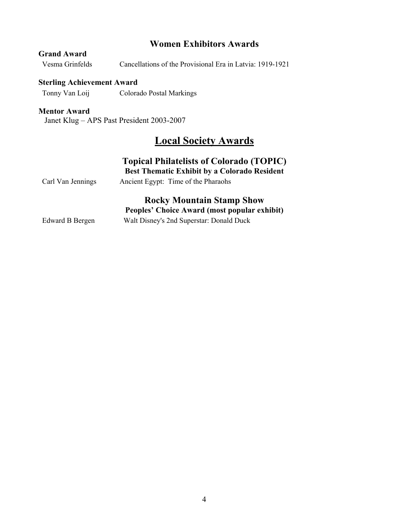### **Women Exhibitors Awards**

| siana iswaia    |                                                           |
|-----------------|-----------------------------------------------------------|
| Vesma Grinfelds | Cancellations of the Provisional Era in Latvia: 1919-1921 |

#### **Sterling Achievement Award**

Tonny Van Loij Colorado Postal Markings

#### **Mentor Award**

**Grand Award**

Janet Klug – APS Past President 2003-2007

## **Local Society Awards**

## **Topical Philatelists of Colorado (TOPIC)**

**Best Thematic Exhibit by a Colorado Resident**

## **Rocky Mountain Stamp Show Peoples' Choice Award (most popular exhibit)**

Edward B Bergen Walt Disney's 2nd Superstar: Donald Duck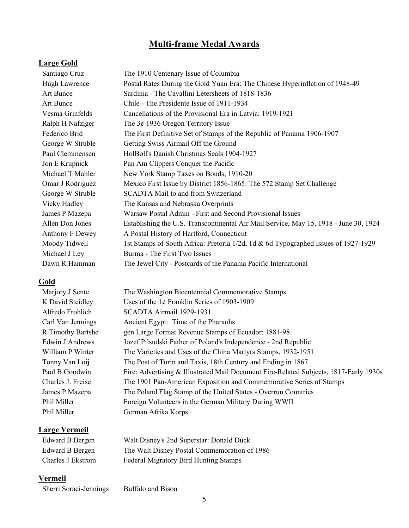## **Multi-frame Medal Awards**

### **Large Gold**

| Santiago Cruz        | The 1910 Centenary Issue of Columbia                                                  |
|----------------------|---------------------------------------------------------------------------------------|
| <b>Hugh Lawrence</b> | Postal Rates During the Gold Yuan Era: The Chinese Hyperinflation of 1948-49          |
| Art Bunce            | Sardinia - The Cavallini Letersheets of 1818-1836                                     |
| Art Bunce            | Chile - The Presidente Issue of 1911-1934                                             |
| Vesma Grinfelds      | Cancellations of the Provisional Era in Latvia: 1919-1921                             |
| Ralph H Nafziger     | The $3¢$ 1936 Oregon Territory Issue                                                  |
| Federico Brid        | The First Definitive Set of Stamps of the Republic of Panama 1906-1907                |
| George W Struble     | Getting Swiss Airmail Off the Ground                                                  |
| Paul Clemmensen      | HolBøll's Danish Christmas Seals 1904-1927                                            |
| Jon E Krupnick       | Pan Am Clippers Conquer the Pacific                                                   |
| Michael T Mahler     | New York Stamp Taxes on Bonds, 1910-20                                                |
| Omar J Rodriguez     | Mexico First Issue by District 1856-1865: The 572 Stamp Set Challenge                 |
| George W Struble     | SCADTA Mail to and from Switzerland                                                   |
| Vicky Hadley         | The Kansas and Nebraska Overprints                                                    |
| James P Mazepa       | Warsaw Postal Admin - First and Second Provisional Issues                             |
| Allen Don Jones      | Establishing the U.S. Transcontinental Air Mail Service, May 15, 1918 - June 30, 1924 |
| Anthony F Dewey      | A Postal History of Hartford, Connecticut                                             |
| Moody Tidwell        | 1st Stamps of South Africa: Pretoria 1/2d, 1d & 6d Typographed Issues of 1927-1929    |
| Michael J Ley        | Burma - The First Two Issues                                                          |
| Dawn R Hamman        | The Jewel City - Postcards of the Panama Pacific International                        |
|                      |                                                                                       |

### **Gold**

| Marjory J Sente   | The Washington Bicentennial Commemorative Stamps                                      |
|-------------------|---------------------------------------------------------------------------------------|
| K David Steidley  | Uses of the $1¢$ Franklin Series of 1903-1909                                         |
| Alfredo Frohlich  | SCADTA Airmail 1929-1931                                                              |
| Carl Van Jennings | Ancient Egypt: Time of the Pharaohs                                                   |
| R Timothy Bartshe | gen Large Format Revenue Stamps of Ecuador: 1881-98                                   |
| Edwin J Andrews   | Jozef Pilsudski Father of Poland's Independence - 2nd Republic                        |
| William P Winter  | The Varieties and Uses of the China Martyrs Stamps, 1932-1951                         |
| Tonny Van Loij    | The Post of Turin and Taxis, 18th Century and Ending in 1867                          |
| Paul B Goodwin    | Fire: Advertising & Illustrated Mail Document Fire-Related Subjects, 1817-Early 1930s |
| Charles J. Freise | The 1901 Pan-American Exposition and Commemorative Series of Stamps                   |
| James P Mazepa    | The Poland Flag Stamp of the United States - Overrun Countries                        |
| Phil Miller       | Foreign Volunteers in the German Military During WWII                                 |
| Phil Miller       | German Afrika Korps                                                                   |
|                   |                                                                                       |

#### **Large Vermeil**

Edward B Bergen Walt Disney's 2nd Superstar: Donald Duck Edward B Bergen The Walt Disney Postal Commemoration of 1986 Charles J Ekstrom Federal Migratory Bird Hunting Stamps

#### **Vermeil**

Sherri Soraci-Jennings Buffalo and Bison